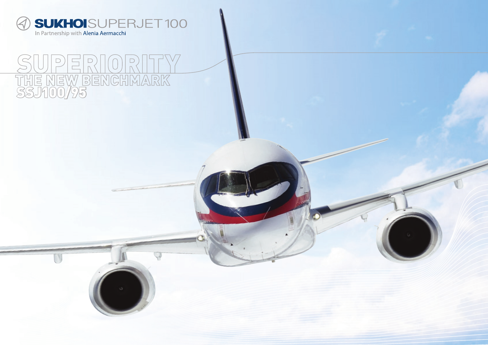

# $\Box$ THE NEW BENCHMARK